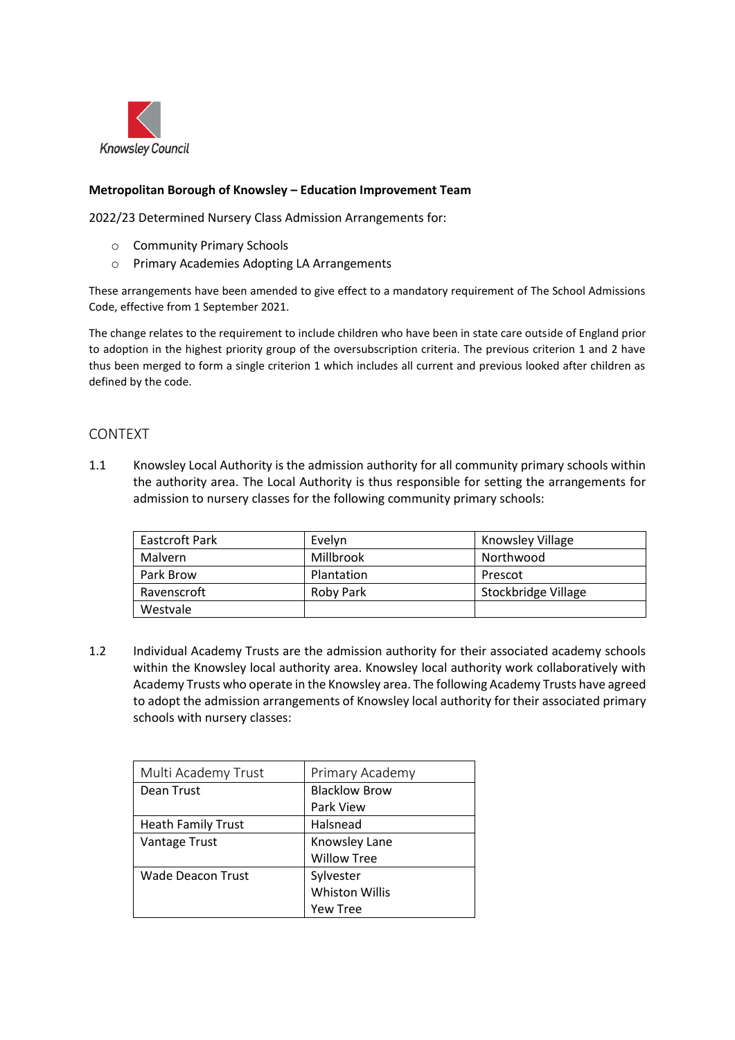

### **Metropolitan Borough of Knowsley – Education Improvement Team**

2022/23 Determined Nursery Class Admission Arrangements for:

- o Community Primary Schools
- o Primary Academies Adopting LA Arrangements

These arrangements have been amended to give effect to a mandatory requirement of The School Admissions Code, effective from 1 September 2021.

The change relates to the requirement to include children who have been in state care outside of England prior to adoption in the highest priority group of the oversubscription criteria. The previous criterion 1 and 2 have thus been merged to form a single criterion 1 which includes all current and previous looked after children as defined by the code.

#### CONTEXT

1.1 Knowsley Local Authority is the admission authority for all community primary schools within the authority area. The Local Authority is thus responsible for setting the arrangements for admission to nursery classes for the following community primary schools:

| Eastcroft Park | Evelyn     | Knowsley Village    |
|----------------|------------|---------------------|
| <b>Malvern</b> | Millbrook  | Northwood           |
| Park Brow      | Plantation | Prescot             |
| Ravenscroft    | Roby Park  | Stockbridge Village |
| Westvale       |            |                     |

1.2 Individual Academy Trusts are the admission authority for their associated academy schools within the Knowsley local authority area. Knowsley local authority work collaboratively with Academy Trusts who operate in the Knowsley area. The following Academy Trusts have agreed to adopt the admission arrangements of Knowsley local authority for their associated primary schools with nursery classes:

| Multi Academy Trust       | Primary Academy       |
|---------------------------|-----------------------|
| Dean Trust                | <b>Blacklow Brow</b>  |
|                           | Park View             |
| <b>Heath Family Trust</b> | Halsnead              |
| Vantage Trust             | Knowsley Lane         |
|                           | <b>Willow Tree</b>    |
| Wade Deacon Trust         | Sylvester             |
|                           | <b>Whiston Willis</b> |
|                           | Yew Tree              |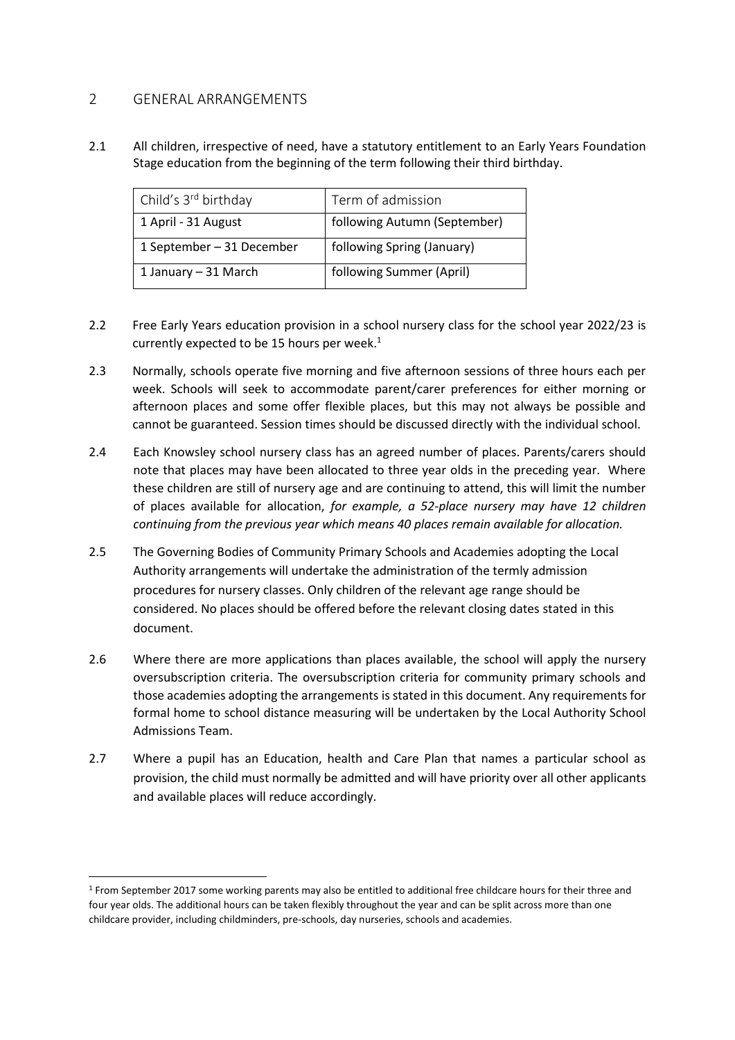## 2 GENERAL ARRANGEMENTS

2.1 All children, irrespective of need, have a statutory entitlement to an Early Years Foundation Stage education from the beginning of the term following their third birthday.

| Child's 3 <sup>rd</sup> birthday | Term of admission            |
|----------------------------------|------------------------------|
| 1 April - 31 August              | following Autumn (September) |
| 1 September - 31 December        | following Spring (January)   |
| 1 January - 31 March             | following Summer (April)     |

- 2.2 Free Early Years education provision in a school nursery class for the school year 2022/23 is currently expected to be 15 hours per week. $1$
- 2.3 Normally, schools operate five morning and five afternoon sessions of three hours each per week. Schools will seek to accommodate parent/carer preferences for either morning or afternoon places and some offer flexible places, but this may not always be possible and cannot be guaranteed. Session times should be discussed directly with the individual school.
- 2.4 Each Knowsley school nursery class has an agreed number of places. Parents/carers should note that places may have been allocated to three year olds in the preceding year. Where these children are still of nursery age and are continuing to attend, this will limit the number of places available for allocation, *for example, a 52-place nursery may have 12 children continuing from the previous year which means 40 places remain available for allocation.*
- 2.5 The Governing Bodies of Community Primary Schools and Academies adopting the Local Authority arrangements will undertake the administration of the termly admission procedures for nursery classes. Only children of the relevant age range should be considered. No places should be offered before the relevant closing dates stated in this document.
- 2.6 Where there are more applications than places available, the school will apply the nursery oversubscription criteria. The oversubscription criteria for community primary schools and those academies adopting the arrangements is stated in this document. Any requirements for formal home to school distance measuring will be undertaken by the Local Authority School Admissions Team.
- 2.7 Where a pupil has an Education, health and Care Plan that names a particular school as provision, the child must normally be admitted and will have priority over all other applicants and available places will reduce accordingly.

<sup>1</sup> From September 2017 some working parents may also be entitled to additional free childcare hours for their three and four year olds. The additional hours can be taken flexibly throughout the year and can be split across more than one childcare provider, including childminders, pre-schools, day nurseries, schools and academies.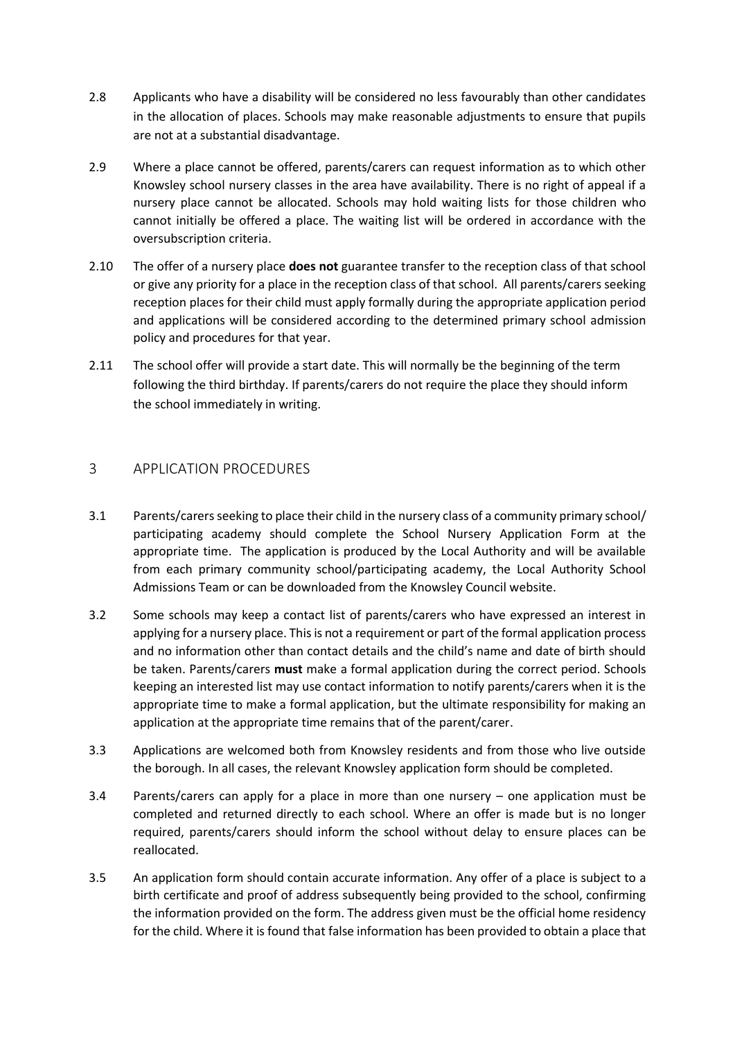- 2.8 Applicants who have a disability will be considered no less favourably than other candidates in the allocation of places. Schools may make reasonable adjustments to ensure that pupils are not at a substantial disadvantage.
- 2.9 Where a place cannot be offered, parents/carers can request information as to which other Knowsley school nursery classes in the area have availability. There is no right of appeal if a nursery place cannot be allocated. Schools may hold waiting lists for those children who cannot initially be offered a place. The waiting list will be ordered in accordance with the oversubscription criteria.
- 2.10 The offer of a nursery place **does not** guarantee transfer to the reception class of that school or give any priority for a place in the reception class of that school. All parents/carers seeking reception places for their child must apply formally during the appropriate application period and applications will be considered according to the determined primary school admission policy and procedures for that year.
- 2.11 The school offer will provide a start date. This will normally be the beginning of the term following the third birthday. If parents/carers do not require the place they should inform the school immediately in writing.

# 3 APPLICATION PROCEDURES

- 3.1 Parents/carers seeking to place their child in the nursery class of a community primary school/ participating academy should complete the School Nursery Application Form at the appropriate time. The application is produced by the Local Authority and will be available from each primary community school/participating academy, the Local Authority School Admissions Team or can be downloaded from the Knowsley Council website.
- 3.2 Some schools may keep a contact list of parents/carers who have expressed an interest in applying for a nursery place. This is not a requirement or part of the formal application process and no information other than contact details and the child's name and date of birth should be taken. Parents/carers **must** make a formal application during the correct period. Schools keeping an interested list may use contact information to notify parents/carers when it is the appropriate time to make a formal application, but the ultimate responsibility for making an application at the appropriate time remains that of the parent/carer.
- 3.3 Applications are welcomed both from Knowsley residents and from those who live outside the borough. In all cases, the relevant Knowsley application form should be completed.
- 3.4 Parents/carers can apply for a place in more than one nursery one application must be completed and returned directly to each school. Where an offer is made but is no longer required, parents/carers should inform the school without delay to ensure places can be reallocated.
- 3.5 An application form should contain accurate information. Any offer of a place is subject to a birth certificate and proof of address subsequently being provided to the school, confirming the information provided on the form. The address given must be the official home residency for the child. Where it is found that false information has been provided to obtain a place that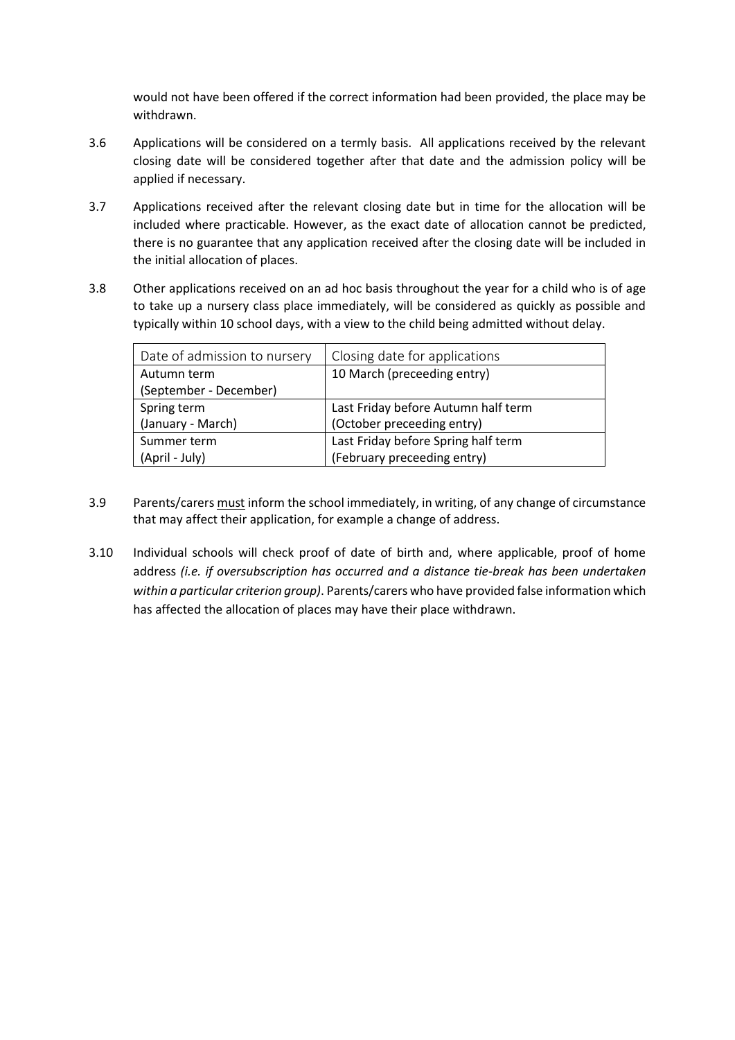would not have been offered if the correct information had been provided, the place may be withdrawn.

- 3.6 Applications will be considered on a termly basis. All applications received by the relevant closing date will be considered together after that date and the admission policy will be applied if necessary.
- 3.7 Applications received after the relevant closing date but in time for the allocation will be included where practicable. However, as the exact date of allocation cannot be predicted, there is no guarantee that any application received after the closing date will be included in the initial allocation of places.
- 3.8 Other applications received on an ad hoc basis throughout the year for a child who is of age to take up a nursery class place immediately, will be considered as quickly as possible and typically within 10 school days, with a view to the child being admitted without delay.

| Date of admission to nursery | Closing date for applications       |
|------------------------------|-------------------------------------|
| Autumn term                  | 10 March (preceeding entry)         |
| (September - December)       |                                     |
| Spring term                  | Last Friday before Autumn half term |
| (January - March)            | (October preceeding entry)          |
| Summer term                  | Last Friday before Spring half term |
| (April - July)               | (February preceeding entry)         |

- 3.9 Parents/carers must inform the school immediately, in writing, of any change of circumstance that may affect their application, for example a change of address.
- 3.10 Individual schools will check proof of date of birth and, where applicable, proof of home address *(i.e. if oversubscription has occurred and a distance tie-break has been undertaken within a particular criterion group)*. Parents/carers who have provided false information which has affected the allocation of places may have their place withdrawn.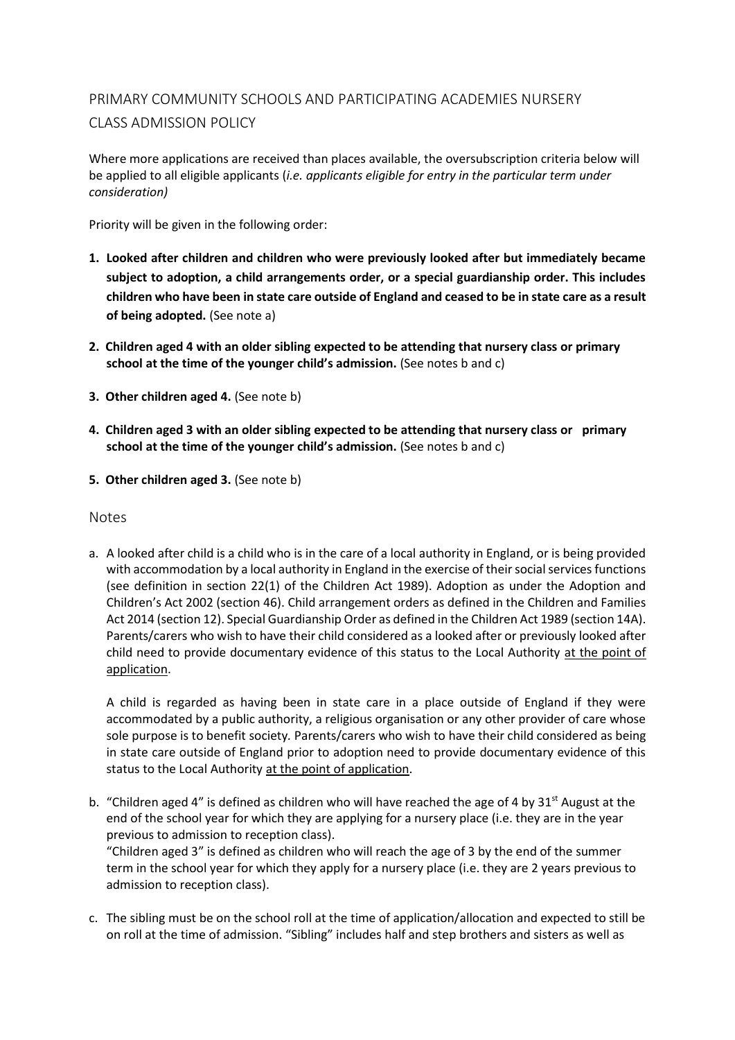# PRIMARY COMMUNITY SCHOOLS AND PARTICIPATING ACADEMIES NURSERY CLASS ADMISSION POLICY

Where more applications are received than places available, the oversubscription criteria below will be applied to all eligible applicants (*i.e. applicants eligible for entry in the particular term under consideration)*

Priority will be given in the following order:

- **1. Looked after children and children who were previously looked after but immediately became subject to adoption, a child arrangements order, or a special guardianship order. This includes children who have been in state care outside of England and ceased to be in state care as a result of being adopted.** (See note a)
- **2. Children aged 4 with an older sibling expected to be attending that nursery class or primary school at the time of the younger child's admission.** (See notes b and c)
- **3. Other children aged 4.** (See note b)
- **4. Children aged 3 with an older sibling expected to be attending that nursery class or primary school at the time of the younger child's admission.** (See notes b and c)
- **5. Other children aged 3.** (See note b)

Notes

a. A looked after child is a child who is in the care of a local authority in England, or is being provided with accommodation by a local authority in England in the exercise of their social services functions (see definition in section 22(1) of the Children Act 1989). Adoption as under the Adoption and Children's Act 2002 (section 46). Child arrangement orders as defined in the Children and Families Act 2014 (section 12). Special Guardianship Order as defined in the Children Act 1989 (section 14A). Parents/carers who wish to have their child considered as a looked after or previously looked after child need to provide documentary evidence of this status to the Local Authority at the point of application.

A child is regarded as having been in state care in a place outside of England if they were accommodated by a public authority, a religious organisation or any other provider of care whose sole purpose is to benefit society*.* Parents/carers who wish to have their child considered as being in state care outside of England prior to adoption need to provide documentary evidence of this status to the Local Authority at the point of application.

b. "Children aged 4" is defined as children who will have reached the age of 4 by  $31<sup>st</sup>$  August at the end of the school year for which they are applying for a nursery place (i.e. they are in the year previous to admission to reception class).

"Children aged 3" is defined as children who will reach the age of 3 by the end of the summer term in the school year for which they apply for a nursery place (i.e. they are 2 years previous to admission to reception class).

c. The sibling must be on the school roll at the time of application/allocation and expected to still be on roll at the time of admission. "Sibling" includes half and step brothers and sisters as well as